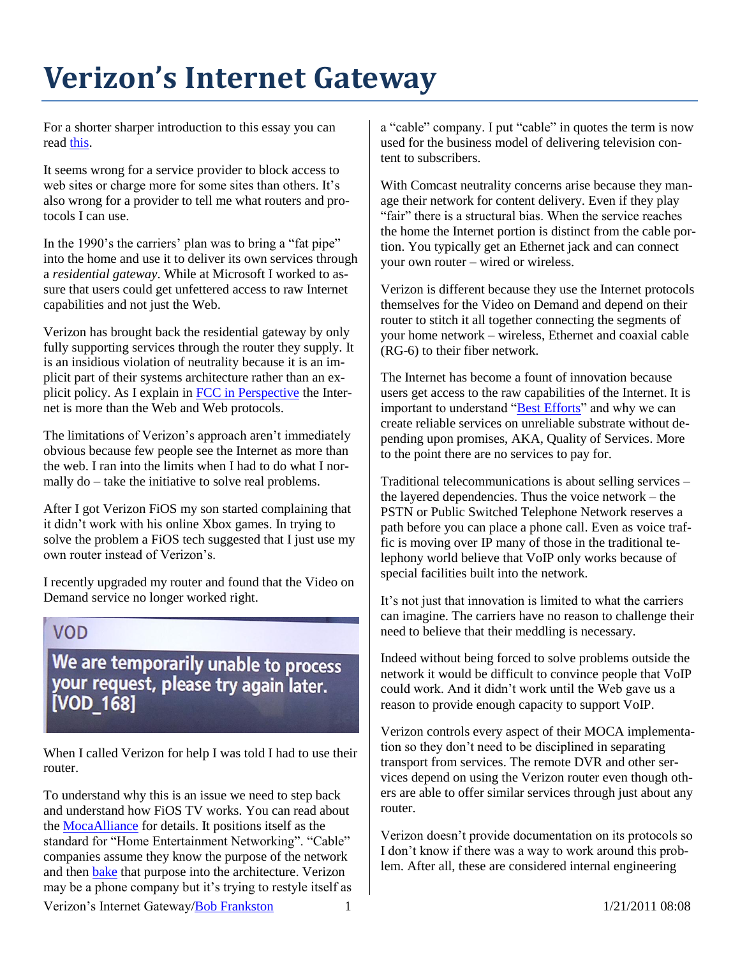## **Verizon's Internet Gateway**

For a shorter sharper introduction to this essay you can rea[d this.](http://rmf.vc/IPVZGateway.vzextreme)

It seems wrong for a service provider to block access to web sites or charge more for some sites than others. It's also wrong for a provider to tell me what routers and protocols I can use.

In the 1990's the carriers' plan was to bring a "fat pipe" into the home and use it to deliver its own services through a *residential gateway*. While at Microsoft I worked to assure that users could get unfettered access to raw Internet capabilities and not just the Web.

Verizon has brought back the residential gateway by only fully supporting services through the router they supply. It is an insidious violation of neutrality because it is an implicit part of their systems architecture rather than an explicit policy. As I explain in [FCC in Perspective](http://rmf.vc/FCCPerspective.vzextreme) the Internet is more than the Web and Web protocols.

The limitations of Verizon's approach aren't immediately obvious because few people see the Internet as more than the web. I ran into the limits when I had to do what I normally do – take the initiative to solve real problems.

After I got Verizon FiOS my son started complaining that it didn't work with his online Xbox games. In trying to solve the problem a FiOS tech suggested that I just use my own router instead of Verizon's.

I recently upgraded my router and found that the Video on Demand service no longer worked right.

## **VOD**

We are temporarily unable to process your request, please try again later. [VOD 168]

When I called Verizon for help I was told I had to use their router.

To understand why this is an issue we need to step back and understand how FiOS TV works. You can read about the [MocaAlliance](http://mocalliance.org/) for details. It positions itself as the standard for "Home Entertainment Networking". "Cable" companies assume they know the purpose of the network and then [bake](http://rmf.vc/unbaked.vzx) that purpose into the architecture. Verizon may be a phone company but it's trying to restyle itself as a "cable" company. I put "cable" in quotes the term is now used for the business model of delivering television content to subscribers.

With Comcast neutrality concerns arise because they manage their network for content delivery. Even if they play "fair" there is a structural bias. When the service reaches the home the Internet portion is distinct from the cable portion. You typically get an Ethernet jack and can connect your own router – wired or wireless.

Verizon is different because they use the Internet protocols themselves for the Video on Demand and depend on their router to stitch it all together connecting the segments of your home network – wireless, Ethernet and coaxial cable (RG-6) to their fiber network.

The Internet has become a fount of innovation because users get access to the raw capabilities of the Internet. It is important to understand ["Best Efforts"](http://rmf.vc/uac.VZX#BestEfforts) and why we can create reliable services on unreliable substrate without depending upon promises, AKA, Quality of Services. More to the point there are no services to pay for.

Traditional telecommunications is about selling services – the layered dependencies. Thus the voice network – the PSTN or Public Switched Telephone Network reserves a path before you can place a phone call. Even as voice traffic is moving over IP many of those in the traditional telephony world believe that VoIP only works because of special facilities built into the network.

It's not just that innovation is limited to what the carriers can imagine. The carriers have no reason to challenge their need to believe that their meddling is necessary.

Indeed without being forced to solve problems outside the network it would be difficult to convince people that VoIP could work. And it didn't work until the Web gave us a reason to provide enough capacity to support VoIP.

Verizon controls every aspect of their MOCA implementation so they don't need to be disciplined in separating transport from services. The remote DVR and other services depend on using the Verizon router even though others are able to offer similar services through just about any router.

Verizon doesn't provide documentation on its protocols so I don't know if there was a way to work around this problem. After all, these are considered internal engineering